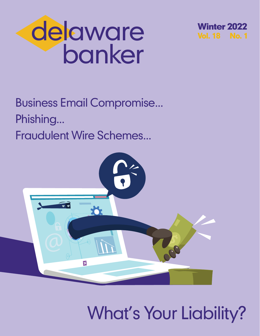



Business Email Compromise... Phishing... Fraudulent Wire Schemes...



What's Your Liability?